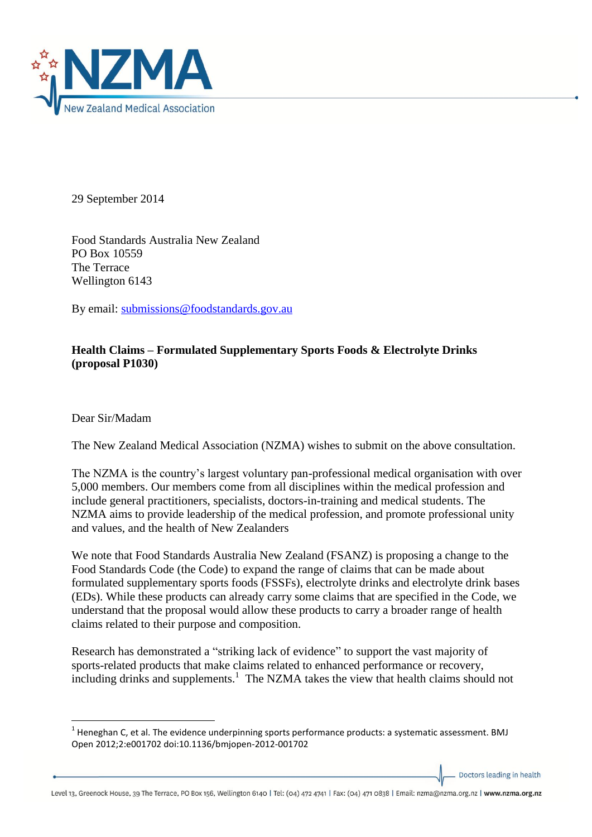

29 September 2014

Food Standards Australia New Zealand PO Box 10559 The Terrace Wellington 6143

By email: [submissions@foodstandards.gov.au](mailto:submissions@foodstandards.gov.au)

## **Health Claims – Formulated Supplementary Sports Foods & Electrolyte Drinks (proposal P1030)**

Dear Sir/Madam

 $\overline{a}$ 

The New Zealand Medical Association (NZMA) wishes to submit on the above consultation.

The NZMA is the country's largest voluntary pan-professional medical organisation with over 5,000 members. Our members come from all disciplines within the medical profession and include general practitioners, specialists, doctors-in-training and medical students. The NZMA aims to provide leadership of the medical profession, and promote professional unity and values, and the health of New Zealanders

We note that Food Standards Australia New Zealand (FSANZ) is proposing a change to the Food Standards Code (the Code) to expand the range of claims that can be made about formulated supplementary sports foods (FSSFs), electrolyte drinks and electrolyte drink bases (EDs). While these products can already carry some claims that are specified in the Code, we understand that the proposal would allow these products to carry a broader range of health claims related to their purpose and composition.

Research has demonstrated a "striking lack of evidence" to support the vast majority of sports-related products that make claims related to enhanced performance or recovery,  $\frac{1}{2}$  including drinks and supplements.<sup>1</sup> The NZMA takes the view that health claims should not

Doctors leading in health

 $^{1}$  Heneghan C, et al. The evidence underpinning sports performance products: a systematic assessment. BMJ Open 2012;2:e001702 doi:10.1136/bmjopen-2012-001702